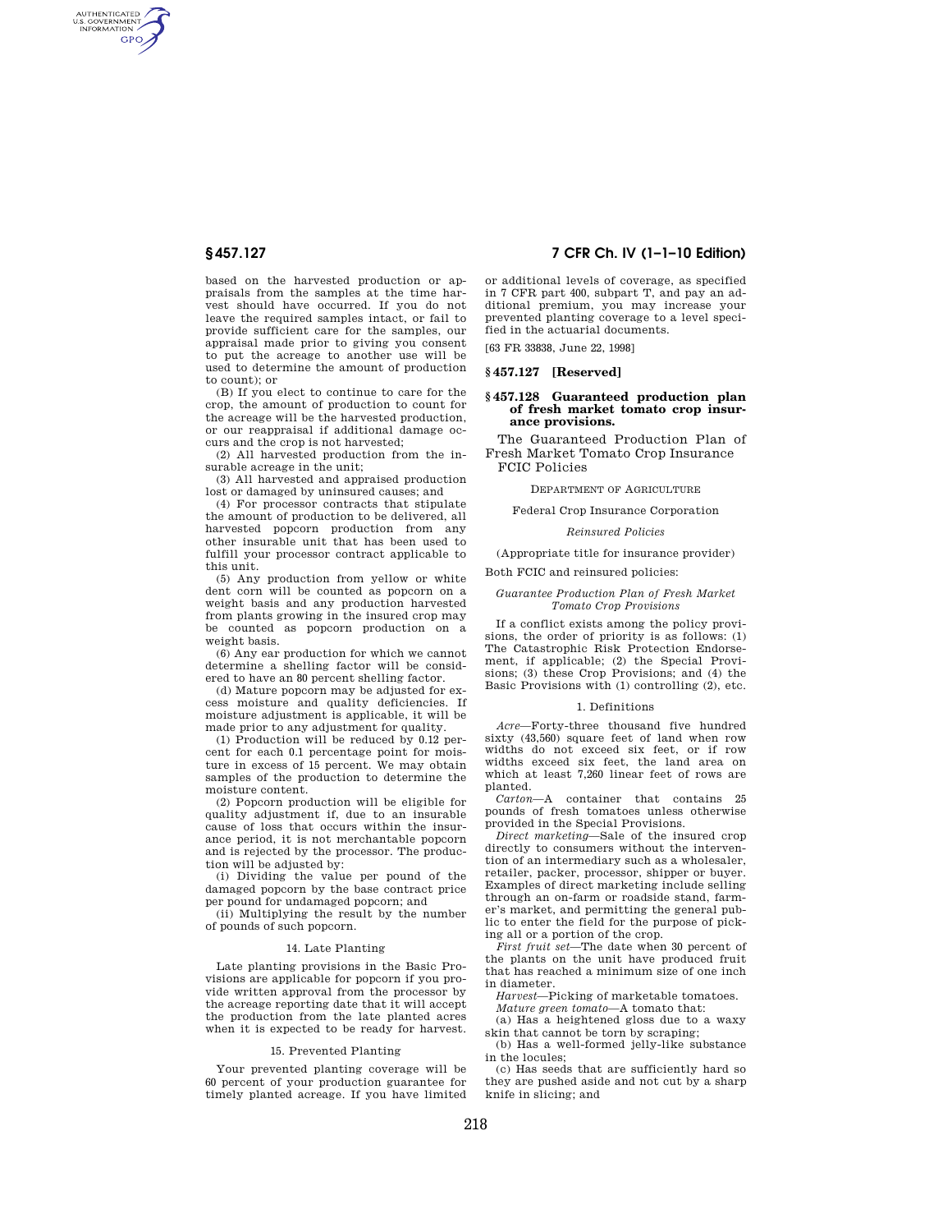AUTHENTICATED<br>U.S. GOVERNMENT<br>INFORMATION **GPO** 

> based on the harvested production or appraisals from the samples at the time harvest should have occurred. If you do not leave the required samples intact, or fail to provide sufficient care for the samples, our appraisal made prior to giving you consent to put the acreage to another use will be used to determine the amount of production to count); or

> (B) If you elect to continue to care for the crop, the amount of production to count for the acreage will be the harvested production, or our reappraisal if additional damage occurs and the crop is not harvested;

> (2) All harvested production from the insurable acreage in the unit;

> (3) All harvested and appraised production lost or damaged by uninsured causes; and

> (4) For processor contracts that stipulate the amount of production to be delivered, all harvested popcorn production from any other insurable unit that has been used to fulfill your processor contract applicable to this unit.

> (5) Any production from yellow or white dent corn will be counted as popcorn on a weight basis and any production harvested from plants growing in the insured crop may be counted as popcorn production on a weight basis.

> (6) Any ear production for which we cannot determine a shelling factor will be considered to have an 80 percent shelling factor.

> (d) Mature popcorn may be adjusted for excess moisture and quality deficiencies. If moisture adjustment is applicable, it will be made prior to any adjustment for quality.

> (1) Production will be reduced by 0.12 percent for each 0.1 percentage point for moisture in excess of 15 percent. We may obtain samples of the production to determine the moisture content.

> (2) Popcorn production will be eligible for quality adjustment if, due to an insurable cause of loss that occurs within the insurance period, it is not merchantable popcorn and is rejected by the processor. The production will be adjusted by:

> (i) Dividing the value per pound of the damaged popcorn by the base contract price per pound for undamaged popcorn; and

(ii) Multiplying the result by the number of pounds of such popcorn.

## 14. Late Planting

Late planting provisions in the Basic Provisions are applicable for popcorn if you provide written approval from the processor by the acreage reporting date that it will accept the production from the late planted acres when it is expected to be ready for harvest.

### 15. Prevented Planting

Your prevented planting coverage will be 60 percent of your production guarantee for timely planted acreage. If you have limited

# **§ 457.127 7 CFR Ch. IV (1–1–10 Edition)**

or additional levels of coverage, as specified in 7 CFR part 400, subpart T, and pay an additional premium, you may increase your prevented planting coverage to a level specified in the actuarial documents.

[63 FR 33838, June 22, 1998]

#### **§ 457.127 [Reserved]**

#### **§ 457.128 Guaranteed production plan of fresh market tomato crop insurance provisions.**

The Guaranteed Production Plan of Fresh Market Tomato Crop Insurance FCIC Policies

DEPARTMENT OF AGRICULTURE

Federal Crop Insurance Corporation

### *Reinsured Policies*

(Appropriate title for insurance provider)

Both FCIC and reinsured policies:

# *Guarantee Production Plan of Fresh Market Tomato Crop Provisions*

If a conflict exists among the policy provisions, the order of priority is as follows: (1) The Catastrophic Risk Protection Endorsement, if applicable; (2) the Special Provisions; (3) these Crop Provisions; and (4) the Basic Provisions with (1) controlling (2), etc.

#### 1. Definitions

*Acre*—Forty-three thousand five hundred sixty (43,560) square feet of land when row widths do not exceed six feet, or if row widths exceed six feet, the land area on which at least 7,260 linear feet of rows are planted.

*Carton*—A container that contains 25 pounds of fresh tomatoes unless otherwise provided in the Special Provisions.

*Direct marketing*—Sale of the insured crop directly to consumers without the intervention of an intermediary such as a wholesaler, retailer, packer, processor, shipper or buyer. Examples of direct marketing include selling through an on-farm or roadside stand, farmer's market, and permitting the general public to enter the field for the purpose of picking all or a portion of the crop.

*First fruit set*—The date when 30 percent of the plants on the unit have produced fruit that has reached a minimum size of one inch in diameter.

*Harvest*—Picking of marketable tomatoes.

*Mature green tomato*—A tomato that: (a) Has a heightened gloss due to a waxy

skin that cannot be torn by scraping;

(b) Has a well-formed jelly-like substance in the locules;

(c) Has seeds that are sufficiently hard so they are pushed aside and not cut by a sharp knife in slicing; and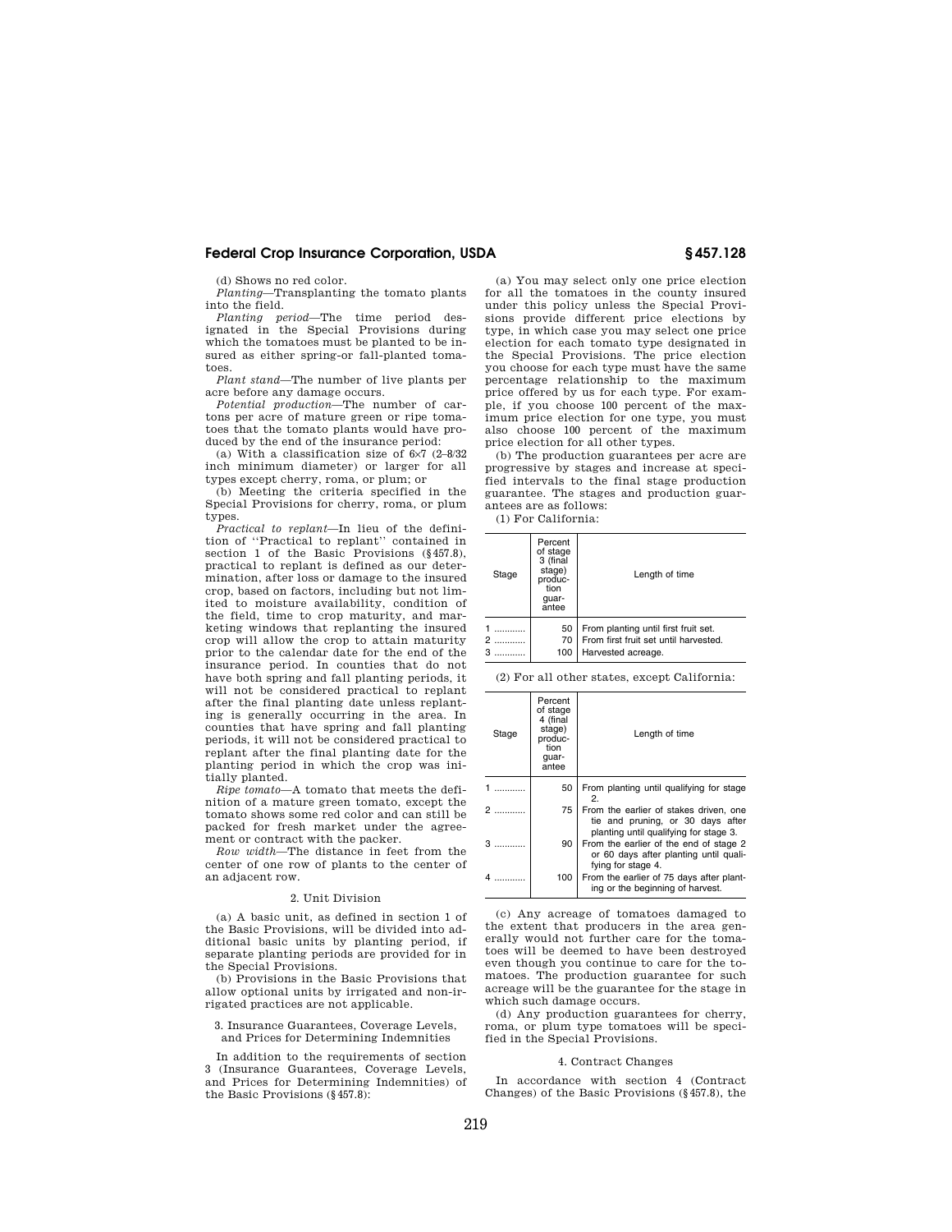# **Federal Crop Insurance Corporation, USDA § 457.128**

(d) Shows no red color.

*Planting*—Transplanting the tomato plants into the field.

*Planting period*—The time period des-ignated in the Special Provisions during which the tomatoes must be planted to be insured as either spring-or fall-planted tomatoes.

*Plant stand*—The number of live plants per acre before any damage occurs.

*Potential production*—The number of cartons per acre of mature green or ripe tomatoes that the tomato plants would have produced by the end of the insurance period:

(a) With a classification size of 6×7 (2–8/32 inch minimum diameter) or larger for all types except cherry, roma, or plum; or

(b) Meeting the criteria specified in the Special Provisions for cherry, roma, or plum types.

*Practical to replant*—In lieu of the defini-tion of ''Practical to replant'' contained in section 1 of the Basic Provisions (§457.8), practical to replant is defined as our determination, after loss or damage to the insured crop, based on factors, including but not limited to moisture availability, condition of the field, time to crop maturity, and marketing windows that replanting the insured crop will allow the crop to attain maturity prior to the calendar date for the end of the insurance period. In counties that do not have both spring and fall planting periods, it will not be considered practical to replant after the final planting date unless replanting is generally occurring in the area. In counties that have spring and fall planting periods, it will not be considered practical to replant after the final planting date for the planting period in which the crop was initially planted.

*Ripe tomato*—A tomato that meets the definition of a mature green tomato, except the tomato shows some red color and can still be packed for fresh market under the agreement or contract with the packer.

*Row width*—The distance in feet from the center of one row of plants to the center of an adjacent row.

#### 2. Unit Division

(a) A basic unit, as defined in section 1 of the Basic Provisions, will be divided into additional basic units by planting period, if separate planting periods are provided for in the Special Provisions.

(b) Provisions in the Basic Provisions that allow optional units by irrigated and non-irrigated practices are not applicable.

3. Insurance Guarantees, Coverage Levels, and Prices for Determining Indemnities

In addition to the requirements of section 3 (Insurance Guarantees, Coverage Levels, and Prices for Determining Indemnities) of the Basic Provisions (§457.8):

(a) You may select only one price election for all the tomatoes in the county insured under this policy unless the Special Provisions provide different price elections by type, in which case you may select one price election for each tomato type designated in the Special Provisions. The price election you choose for each type must have the same percentage relationship to the maximum price offered by us for each type. For example, if you choose 100 percent of the maximum price election for one type, you must also choose 100 percent of the maximum price election for all other types.

(b) The production guarantees per acre are progressive by stages and increase at specified intervals to the final stage production guarantee. The stages and production guarantees are as follows:

(1) For California:

| Stage | Percent<br>of stage<br>3 (final<br>stage)<br>produc-<br>tion<br>quar-<br>antee | Length of time                                                                                      |  |
|-------|--------------------------------------------------------------------------------|-----------------------------------------------------------------------------------------------------|--|
|       | 50<br>70<br>100                                                                | From planting until first fruit set.<br>From first fruit set until harvested.<br>Harvested acreage. |  |

(2) For all other states, except California:

| Stage                         | Percent<br>of stage<br>4 (final<br>stage)<br>produc-<br>tion<br>quar-<br>antee | Length of time                                                                                                        |
|-------------------------------|--------------------------------------------------------------------------------|-----------------------------------------------------------------------------------------------------------------------|
|                               | 50                                                                             | From planting until qualifying for stage<br>2.                                                                        |
|                               | 75                                                                             | From the earlier of stakes driven, one<br>tie and pruning, or 30 days after<br>planting until qualifying for stage 3. |
| $\mathbf{3}$ and $\mathbf{3}$ | 90                                                                             | From the earlier of the end of stage 2<br>or 60 days after planting until quali-<br>fying for stage 4.                |
|                               | 100                                                                            | From the earlier of 75 days after plant-<br>ing or the beginning of harvest.                                          |

(c) Any acreage of tomatoes damaged to the extent that producers in the area generally would not further care for the tomatoes will be deemed to have been destroyed even though you continue to care for the tomatoes. The production guarantee for such acreage will be the guarantee for the stage in which such damage occurs.

(d) Any production guarantees for cherry, roma, or plum type tomatoes will be specified in the Special Provisions.

## 4. Contract Changes

In accordance with section 4 (Contract Changes) of the Basic Provisions (§457.8), the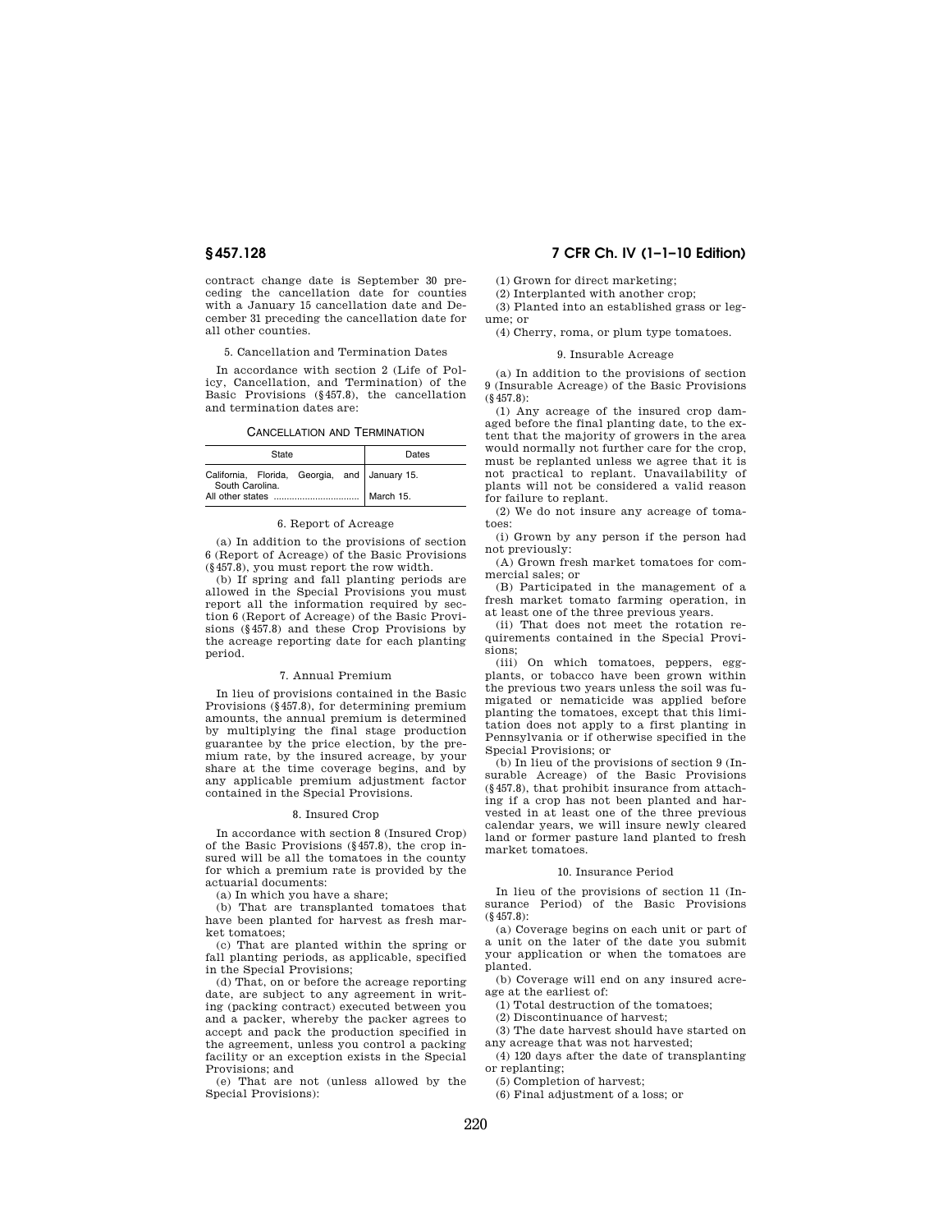contract change date is September 30 preceding the cancellation date for counties with a January 15 cancellation date and December 31 preceding the cancellation date for all other counties.

### 5. Cancellation and Termination Dates

In accordance with section 2 (Life of Policy, Cancellation, and Termination) of the Basic Provisions (§457.8), the cancellation and termination dates are:

#### CANCELLATION AND TERMINATION

|                  | State | Dates     |  |                                               |
|------------------|-------|-----------|--|-----------------------------------------------|
| South Carolina.  |       |           |  | California, Florida, Georgia, and January 15. |
| All other states |       | March 15. |  |                                               |

#### 6. Report of Acreage

(a) In addition to the provisions of section 6 (Report of Acreage) of the Basic Provisions (§457.8), you must report the row width.

(b) If spring and fall planting periods are allowed in the Special Provisions you must report all the information required by section 6 (Report of Acreage) of the Basic Provisions (§457.8) and these Crop Provisions by the acreage reporting date for each planting period.

#### 7. Annual Premium

In lieu of provisions contained in the Basic Provisions (§457.8), for determining premium amounts, the annual premium is determined by multiplying the final stage production guarantee by the price election, by the premium rate, by the insured acreage, by your share at the time coverage begins, and by any applicable premium adjustment factor contained in the Special Provisions.

#### 8. Insured Crop

In accordance with section 8 (Insured Crop) of the Basic Provisions (§457.8), the crop insured will be all the tomatoes in the county for which a premium rate is provided by the actuarial documents:

(a) In which you have a share;

(b) That are transplanted tomatoes that have been planted for harvest as fresh market tomatoes;

(c) That are planted within the spring or fall planting periods, as applicable, specified in the Special Provisions;

(d) That, on or before the acreage reporting date, are subject to any agreement in writing (packing contract) executed between you and a packer, whereby the packer agrees to accept and pack the production specified in the agreement, unless you control a packing facility or an exception exists in the Special Provisions; and

(e) That are not (unless allowed by the Special Provisions):

# **§ 457.128 7 CFR Ch. IV (1–1–10 Edition)**

(1) Grown for direct marketing;

(2) Interplanted with another crop;

(3) Planted into an established grass or legume; or

(4) Cherry, roma, or plum type tomatoes.

#### 9. Insurable Acreage

(a) In addition to the provisions of section 9 (Insurable Acreage) of the Basic Provisions (§457.8):

(1) Any acreage of the insured crop damaged before the final planting date, to the extent that the majority of growers in the area would normally not further care for the crop, must be replanted unless we agree that it is not practical to replant. Unavailability of plants will not be considered a valid reason for failure to replant.

(2) We do not insure any acreage of tomatoes:

(i) Grown by any person if the person had not previously:

(A) Grown fresh market tomatoes for commercial sales; or

(B) Participated in the management of a fresh market tomato farming operation, in at least one of the three previous years.

(ii) That does not meet the rotation requirements contained in the Special Provisions;

(iii) On which tomatoes, peppers, eggplants, or tobacco have been grown within the previous two years unless the soil was fumigated or nematicide was applied before planting the tomatoes, except that this limitation does not apply to a first planting in Pennsylvania or if otherwise specified in the Special Provisions; or

(b) In lieu of the provisions of section 9 (Insurable Acreage) of the Basic Provisions (§457.8), that prohibit insurance from attaching if a crop has not been planted and harvested in at least one of the three previous calendar years, we will insure newly cleared land or former pasture land planted to fresh market tomatoes.

#### 10. Insurance Period

In lieu of the provisions of section 11 (Insurance Period) of the Basic Provisions (§457.8):

(a) Coverage begins on each unit or part of a unit on the later of the date you submit your application or when the tomatoes are planted.

(b) Coverage will end on any insured acreage at the earliest of:

(1) Total destruction of the tomatoes;

(2) Discontinuance of harvest;

(3) The date harvest should have started on any acreage that was not harvested;

(4) 120 days after the date of transplanting or replanting;

(5) Completion of harvest;

(6) Final adjustment of a loss; or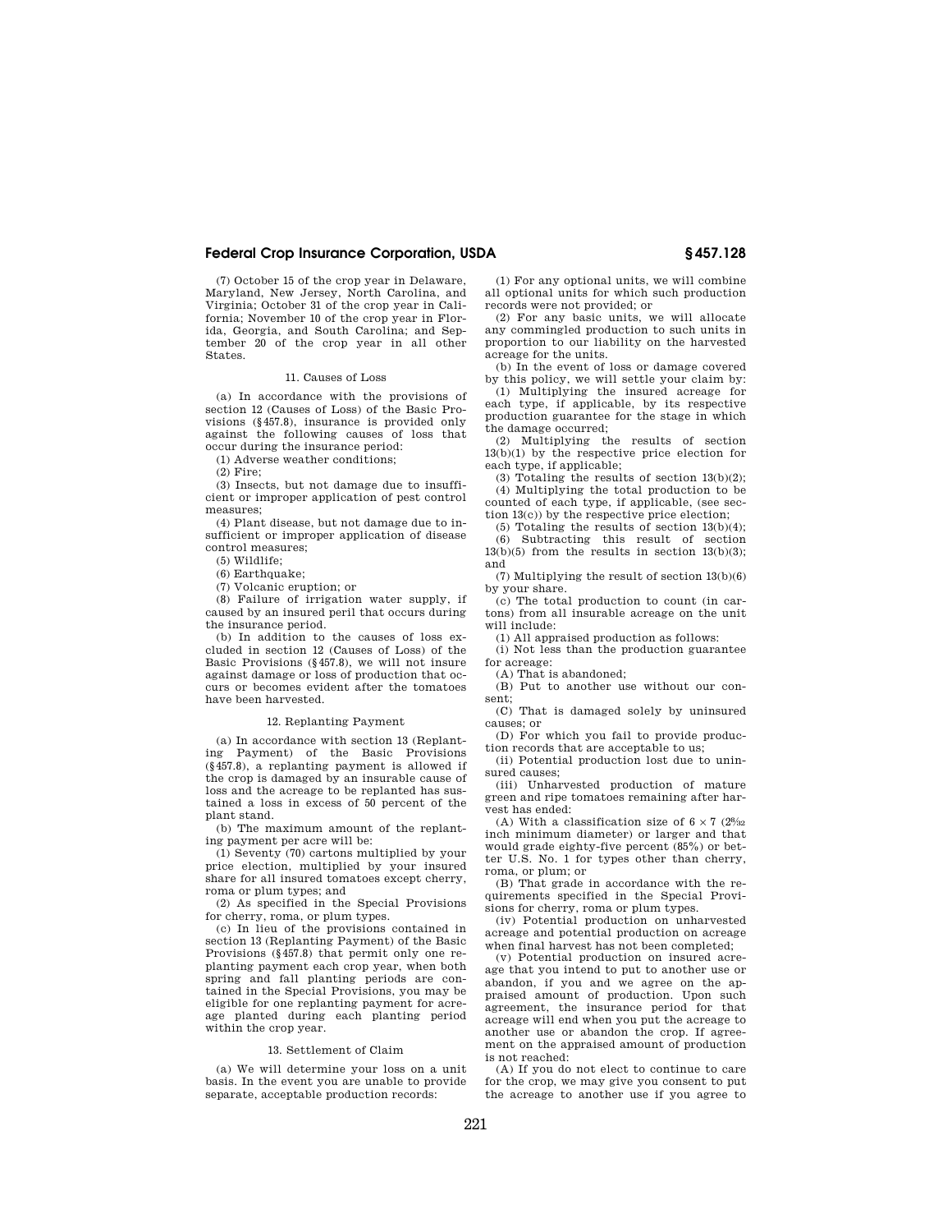# **Federal Crop Insurance Corporation, USDA § 457.128**

(7) October 15 of the crop year in Delaware, Maryland, New Jersey, North Carolina, and Virginia; October 31 of the crop year in California; November 10 of the crop year in Florida, Georgia, and South Carolina; and September 20 of the crop year in all other States.

#### 11. Causes of Loss

(a) In accordance with the provisions of section 12 (Causes of Loss) of the Basic Provisions (§457.8), insurance is provided only against the following causes of loss that occur during the insurance period:

(1) Adverse weather conditions;

(2) Fire;

(3) Insects, but not damage due to insufficient or improper application of pest control measures;

(4) Plant disease, but not damage due to insufficient or improper application of disease control measures;

(5) Wildlife;

(6) Earthquake;

(7) Volcanic eruption; or

(8) Failure of irrigation water supply, if caused by an insured peril that occurs during the insurance period.

(b) In addition to the causes of loss excluded in section 12 (Causes of Loss) of the Basic Provisions (§457.8), we will not insure against damage or loss of production that occurs or becomes evident after the tomatoes have been harvested.

#### 12. Replanting Payment

(a) In accordance with section 13 (Replanting Payment) of the Basic Provisions (§457.8), a replanting payment is allowed if the crop is damaged by an insurable cause of loss and the acreage to be replanted has sustained a loss in excess of 50 percent of the plant stand.

(b) The maximum amount of the replanting payment per acre will be:

(1) Seventy (70) cartons multiplied by your price election, multiplied by your insured share for all insured tomatoes except cherry, roma or plum types; and

(2) As specified in the Special Provisions for cherry, roma, or plum types.

(c) In lieu of the provisions contained in section 13 (Replanting Payment) of the Basic Provisions (§457.8) that permit only one replanting payment each crop year, when both spring and fall planting periods are contained in the Special Provisions, you may be eligible for one replanting payment for acreage planted during each planting period within the crop year.

### 13. Settlement of Claim

(a) We will determine your loss on a unit basis. In the event you are unable to provide separate, acceptable production records:

(1) For any optional units, we will combine all optional units for which such production records were not provided; or

(2) For any basic units, we will allocate any commingled production to such units in proportion to our liability on the harvested acreage for the units.

(b) In the event of loss or damage covered by this policy, we will settle your claim by:

 $(1)$  Multiplying the insured acreage for each type, if applicable, by its respective production guarantee for the stage in which the damage occurred;

(2) Multiplying the results of section 13(b)(1) by the respective price election for each type, if applicable;

(3) Totaling the results of section 13(b)(2); (4) Multiplying the total production to be counted of each type, if applicable, (see section 13(c)) by the respective price election;

(5) Totaling the results of section 13(b)(4); (6) Subtracting this result of section  $13(b)(5)$  from the results in section  $13(b)(3)$ ; and

(7) Multiplying the result of section 13(b)(6) by your share.

(c) The total production to count (in cartons) from all insurable acreage on the unit will include:

(1) All appraised production as follows:

(i) Not less than the production guarantee for acreage:

(A) That is abandoned;

(B) Put to another use without our consent;

(C) That is damaged solely by uninsured causes; or

(D) For which you fail to provide production records that are acceptable to us;

(ii) Potential production lost due to uninsured causes;

(iii) Unharvested production of mature green and ripe tomatoes remaining after harvest has ended:

(A) With a classification size of  $6 \times 7$  ( $2\frac{8}{32}$ inch minimum diameter) or larger and that would grade eighty-five percent (85%) or better U.S. No. 1 for types other than cherry, roma, or plum; or

(B) That grade in accordance with the requirements specified in the Special Provisions for cherry, roma or plum types.

(iv) Potential production on unharvested acreage and potential production on acreage when final harvest has not been completed;

(v) Potential production on insured acreage that you intend to put to another use or abandon, if you and we agree on the appraised amount of production. Upon such agreement, the insurance period for that acreage will end when you put the acreage to another use or abandon the crop. If agreement on the appraised amount of production is not reached:

(A) If you do not elect to continue to care for the crop, we may give you consent to put the acreage to another use if you agree to